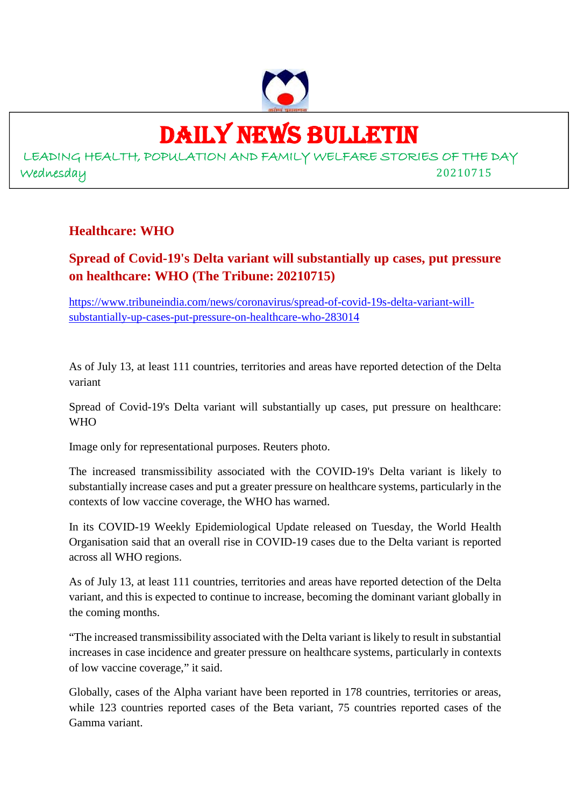

### DAILY NEWS BULLETIN

LEADING HEALTH, POPULATION AND FAMILY WELFARE STORIES OF THE DAY Wednesday 20210715

#### **Healthcare: WHO**

#### **Spread of Covid-19's Delta variant will substantially up cases, put pressure on healthcare: WHO (The Tribune: 20210715)**

https://www.tribuneindia.com/news/coronavirus/spread-of-covid-19s-delta-variant-willsubstantially-up-cases-put-pressure-on-healthcare-who-283014

As of July 13, at least 111 countries, territories and areas have reported detection of the Delta variant

Spread of Covid-19's Delta variant will substantially up cases, put pressure on healthcare: WHO

Image only for representational purposes. Reuters photo.

The increased transmissibility associated with the COVID-19's Delta variant is likely to substantially increase cases and put a greater pressure on healthcare systems, particularly in the contexts of low vaccine coverage, the WHO has warned.

In its COVID-19 Weekly Epidemiological Update released on Tuesday, the World Health Organisation said that an overall rise in COVID-19 cases due to the Delta variant is reported across all WHO regions.

As of July 13, at least 111 countries, territories and areas have reported detection of the Delta variant, and this is expected to continue to increase, becoming the dominant variant globally in the coming months.

"The increased transmissibility associated with the Delta variant is likely to result in substantial increases in case incidence and greater pressure on healthcare systems, particularly in contexts of low vaccine coverage," it said.

Globally, cases of the Alpha variant have been reported in 178 countries, territories or areas, while 123 countries reported cases of the Beta variant, 75 countries reported cases of the Gamma variant.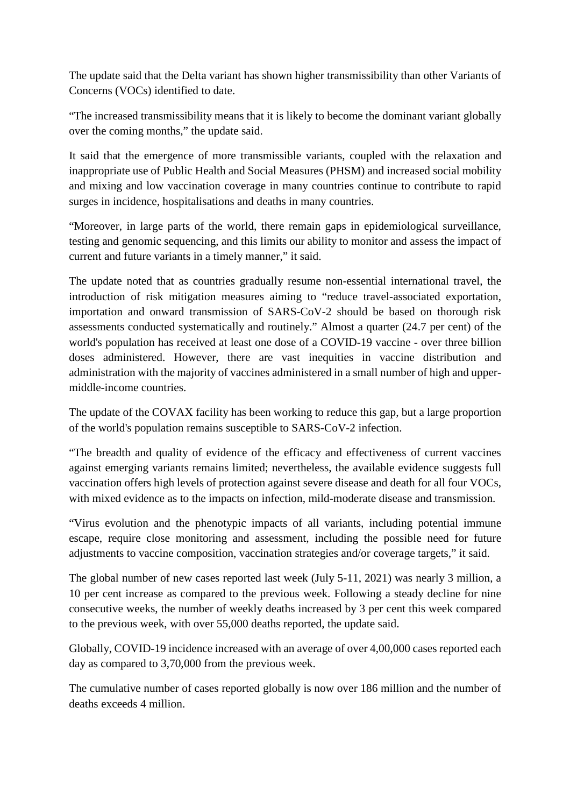The update said that the Delta variant has shown higher transmissibility than other Variants of Concerns (VOCs) identified to date.

"The increased transmissibility means that it is likely to become the dominant variant globally over the coming months," the update said.

It said that the emergence of more transmissible variants, coupled with the relaxation and inappropriate use of Public Health and Social Measures (PHSM) and increased social mobility and mixing and low vaccination coverage in many countries continue to contribute to rapid surges in incidence, hospitalisations and deaths in many countries.

"Moreover, in large parts of the world, there remain gaps in epidemiological surveillance, testing and genomic sequencing, and this limits our ability to monitor and assess the impact of current and future variants in a timely manner," it said.

The update noted that as countries gradually resume non-essential international travel, the introduction of risk mitigation measures aiming to "reduce travel-associated exportation, importation and onward transmission of SARS-CoV-2 should be based on thorough risk assessments conducted systematically and routinely." Almost a quarter (24.7 per cent) of the world's population has received at least one dose of a COVID-19 vaccine - over three billion doses administered. However, there are vast inequities in vaccine distribution and administration with the majority of vaccines administered in a small number of high and uppermiddle-income countries.

The update of the COVAX facility has been working to reduce this gap, but a large proportion of the world's population remains susceptible to SARS-CoV-2 infection.

"The breadth and quality of evidence of the efficacy and effectiveness of current vaccines against emerging variants remains limited; nevertheless, the available evidence suggests full vaccination offers high levels of protection against severe disease and death for all four VOCs, with mixed evidence as to the impacts on infection, mild-moderate disease and transmission.

"Virus evolution and the phenotypic impacts of all variants, including potential immune escape, require close monitoring and assessment, including the possible need for future adjustments to vaccine composition, vaccination strategies and/or coverage targets," it said.

The global number of new cases reported last week (July 5-11, 2021) was nearly 3 million, a 10 per cent increase as compared to the previous week. Following a steady decline for nine consecutive weeks, the number of weekly deaths increased by 3 per cent this week compared to the previous week, with over 55,000 deaths reported, the update said.

Globally, COVID-19 incidence increased with an average of over 4,00,000 cases reported each day as compared to 3,70,000 from the previous week.

The cumulative number of cases reported globally is now over 186 million and the number of deaths exceeds 4 million.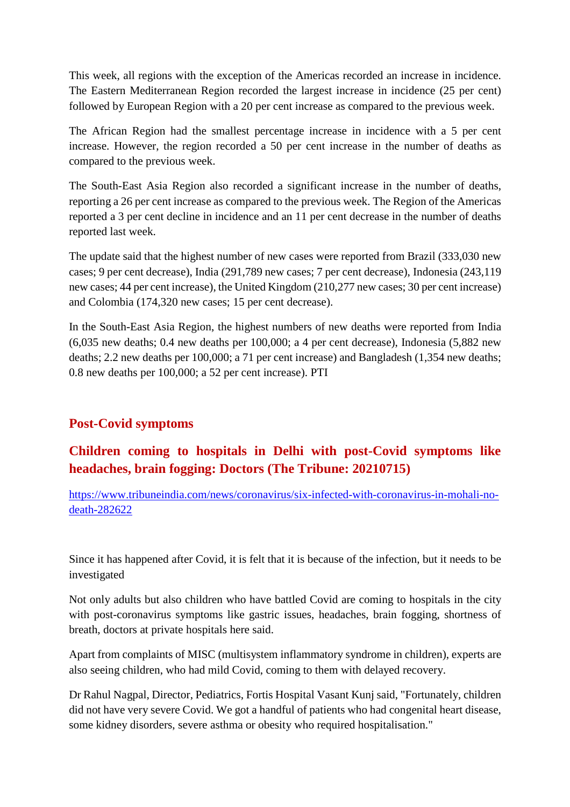This week, all regions with the exception of the Americas recorded an increase in incidence. The Eastern Mediterranean Region recorded the largest increase in incidence (25 per cent) followed by European Region with a 20 per cent increase as compared to the previous week.

The African Region had the smallest percentage increase in incidence with a 5 per cent increase. However, the region recorded a 50 per cent increase in the number of deaths as compared to the previous week.

The South-East Asia Region also recorded a significant increase in the number of deaths, reporting a 26 per cent increase as compared to the previous week. The Region of the Americas reported a 3 per cent decline in incidence and an 11 per cent decrease in the number of deaths reported last week.

The update said that the highest number of new cases were reported from Brazil (333,030 new cases; 9 per cent decrease), India (291,789 new cases; 7 per cent decrease), Indonesia (243,119 new cases; 44 per cent increase), the United Kingdom (210,277 new cases; 30 per cent increase) and Colombia (174,320 new cases; 15 per cent decrease).

In the South-East Asia Region, the highest numbers of new deaths were reported from India (6,035 new deaths; 0.4 new deaths per 100,000; a 4 per cent decrease), Indonesia (5,882 new deaths; 2.2 new deaths per 100,000; a 71 per cent increase) and Bangladesh (1,354 new deaths; 0.8 new deaths per 100,000; a 52 per cent increase). PTI

#### **Post-Covid symptoms**

#### **Children coming to hospitals in Delhi with post-Covid symptoms like headaches, brain fogging: Doctors (The Tribune: 20210715)**

https://www.tribuneindia.com/news/coronavirus/six-infected-with-coronavirus-in-mohali-nodeath-282622

Since it has happened after Covid, it is felt that it is because of the infection, but it needs to be investigated

Not only adults but also children who have battled Covid are coming to hospitals in the city with post-coronavirus symptoms like gastric issues, headaches, brain fogging, shortness of breath, doctors at private hospitals here said.

Apart from complaints of MISC (multisystem inflammatory syndrome in children), experts are also seeing children, who had mild Covid, coming to them with delayed recovery.

Dr Rahul Nagpal, Director, Pediatrics, Fortis Hospital Vasant Kunj said, "Fortunately, children did not have very severe Covid. We got a handful of patients who had congenital heart disease, some kidney disorders, severe asthma or obesity who required hospitalisation."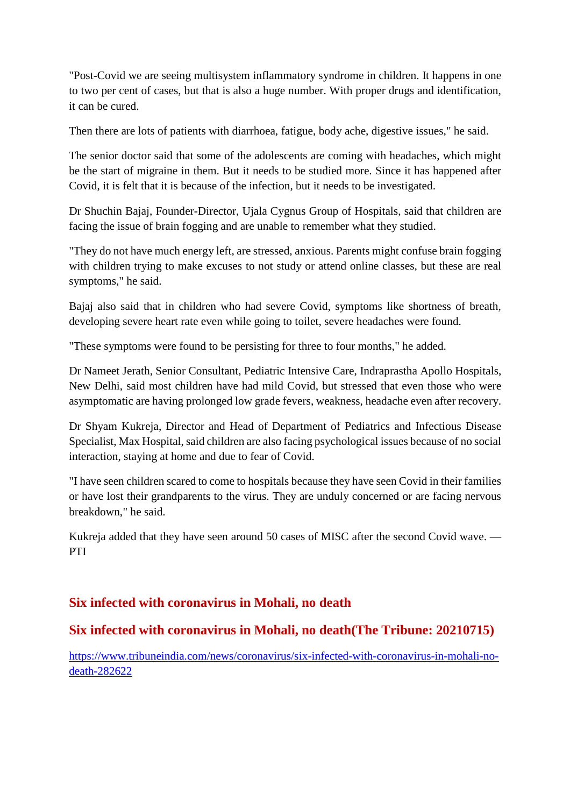"Post-Covid we are seeing multisystem inflammatory syndrome in children. It happens in one to two per cent of cases, but that is also a huge number. With proper drugs and identification, it can be cured.

Then there are lots of patients with diarrhoea, fatigue, body ache, digestive issues," he said.

The senior doctor said that some of the adolescents are coming with headaches, which might be the start of migraine in them. But it needs to be studied more. Since it has happened after Covid, it is felt that it is because of the infection, but it needs to be investigated.

Dr Shuchin Bajaj, Founder-Director, Ujala Cygnus Group of Hospitals, said that children are facing the issue of brain fogging and are unable to remember what they studied.

"They do not have much energy left, are stressed, anxious. Parents might confuse brain fogging with children trying to make excuses to not study or attend online classes, but these are real symptoms," he said.

Bajaj also said that in children who had severe Covid, symptoms like shortness of breath, developing severe heart rate even while going to toilet, severe headaches were found.

"These symptoms were found to be persisting for three to four months," he added.

Dr Nameet Jerath, Senior Consultant, Pediatric Intensive Care, Indraprastha Apollo Hospitals, New Delhi, said most children have had mild Covid, but stressed that even those who were asymptomatic are having prolonged low grade fevers, weakness, headache even after recovery.

Dr Shyam Kukreja, Director and Head of Department of Pediatrics and Infectious Disease Specialist, Max Hospital, said children are also facing psychological issues because of no social interaction, staying at home and due to fear of Covid.

"I have seen children scared to come to hospitals because they have seen Covid in their families or have lost their grandparents to the virus. They are unduly concerned or are facing nervous breakdown," he said.

Kukreja added that they have seen around 50 cases of MISC after the second Covid wave. — PTI

#### **Six infected with coronavirus in Mohali, no death**

#### **Six infected with coronavirus in Mohali, no death(The Tribune: 20210715)**

https://www.tribuneindia.com/news/coronavirus/six-infected-with-coronavirus-in-mohali-nodeath-282622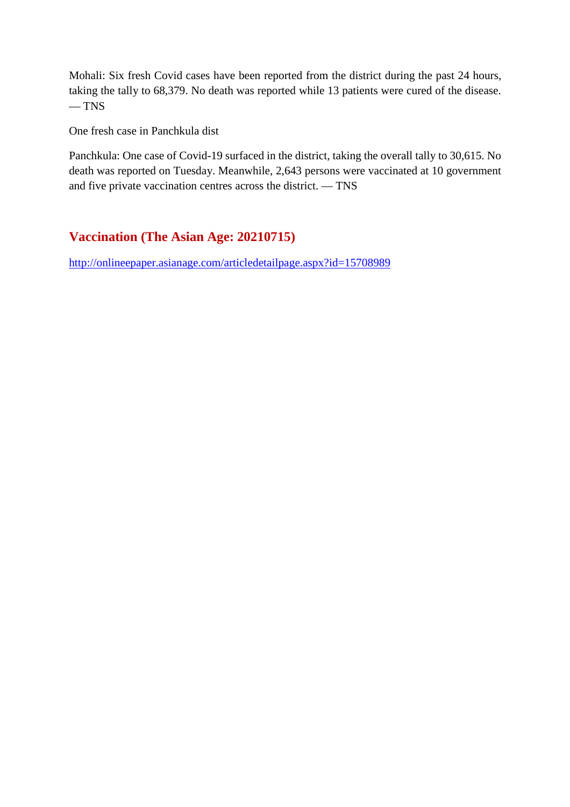Mohali: Six fresh Covid cases have been reported from the district during the past 24 hours, taking the tally to 68,379. No death was reported while 13 patients were cured of the disease.  $-$  TNS

One fresh case in Panchkula dist

Panchkula: One case of Covid-19 surfaced in the district, taking the overall tally to 30,615. No death was reported on Tuesday. Meanwhile, 2,643 persons were vaccinated at 10 government and five private vaccination centres across the district. — TNS

#### **Vaccination (The Asian Age: 20210715)**

http://onlineepaper.asianage.com/articledetailpage.aspx?id=15708989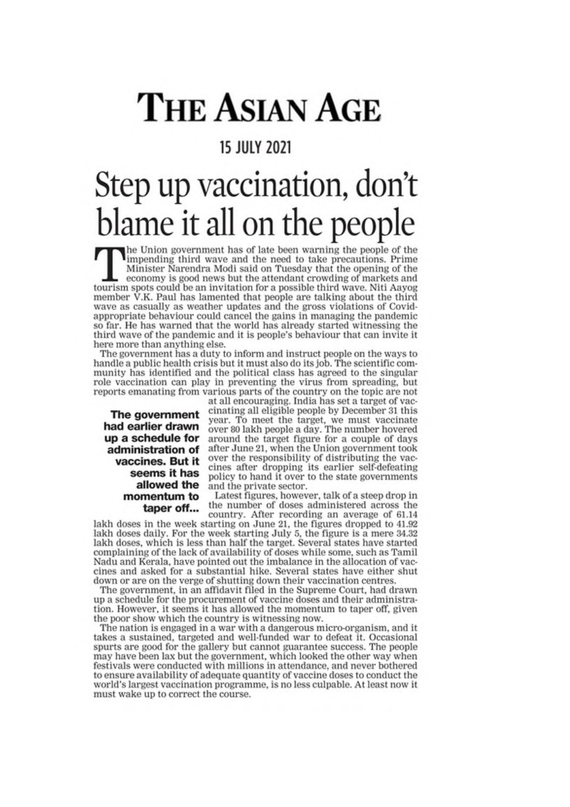## **THE ASIAN AGE**

#### **15 JULY 2021**

### Step up vaccination, don't blame it all on the people

The Union government has of late been warning the people of the impending third wave and the need to take precautions. Prime Minister Narendra Modi said on Tuesday that the opening of the economy is good news but the attendant crowding of markets and tourism spots could be an invitation for a possible third wave. Niti Aayog member V.K. Paul has lamented that people are talking about the third wave as casually as weather updates and the gross violations of Covidappropriate behaviour could cancel the gains in managing the pandemic so far. He has warned that the world has already started witnessing the third wave of the pandemic and it is people's behaviour that can invite it here more than anything else.

The government has a duty to inform and instruct people on the ways to handle a public health crisis but it must also do its job. The scientific community has identified and the political class has agreed to the singular role vaccination can play in preventing the virus from spreading, but reports emanating from various parts of the country on the topic are not

The government had earlier drawn up a schedule for administration of vaccines. But it seems it has allowed the momentum to taper off...

at all encouraging. India has set a target of vaccinating all eligible people by December 31 this year. To meet the target, we must vaccinate<br>over 80 lakh people a day. The number hovered around the target figure for a couple of days after June 21, when the Union government took over the responsibility of distributing the vaccines after dropping its earlier self-defeating policy to hand it over to the state governments and the private sector.

Latest figures, however, talk of a steep drop in the number of doses administered across the country. After recording an average of 61.14

lakh doses in the week starting on June 21, the figures dropped to 41.92 lakh doses daily. For the week starting July 5, the figure is a mere 34.32 lakh doses, which is less than half the target. Several states have started complaining of the lack of availability of doses while some, such as Tamil Nadu and Kerala, have pointed out the imbalance in the allocation of vaccines and asked for a substantial hike. Several states have either shut down or are on the verge of shutting down their vaccination centres.

The government, in an affidavit filed in the Supreme Court, had drawn up a schedule for the procurement of vaccine doses and their administration. However, it seems it has allowed the momentum to taper off, given the poor show which the country is witnessing now.

The nation is engaged in a war with a dangerous micro-organism, and it takes a sustained, targeted and well-funded war to defeat it. Occasional spurts are good for the gallery but cannot guarantee success. The people may have been lax but the government, which looked the other way when festivals were conducted with millions in attendance, and never bothered to ensure availability of adequate quantity of vaccine doses to conduct the world's largest vaccination programme, is no less culpable. At least now it must wake up to correct the course.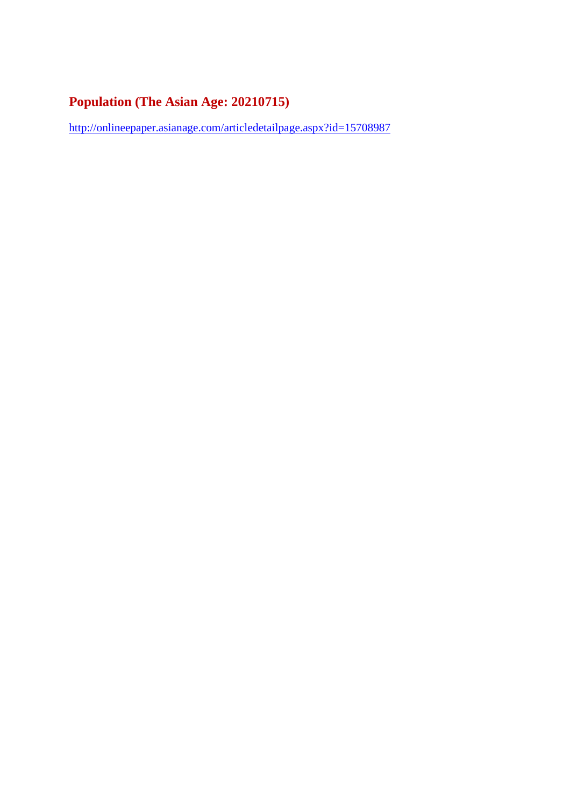#### **Population (The Asian Age: 20210715)**

http://onlineepaper.asianage.com/articledetailpage.aspx?id=15708987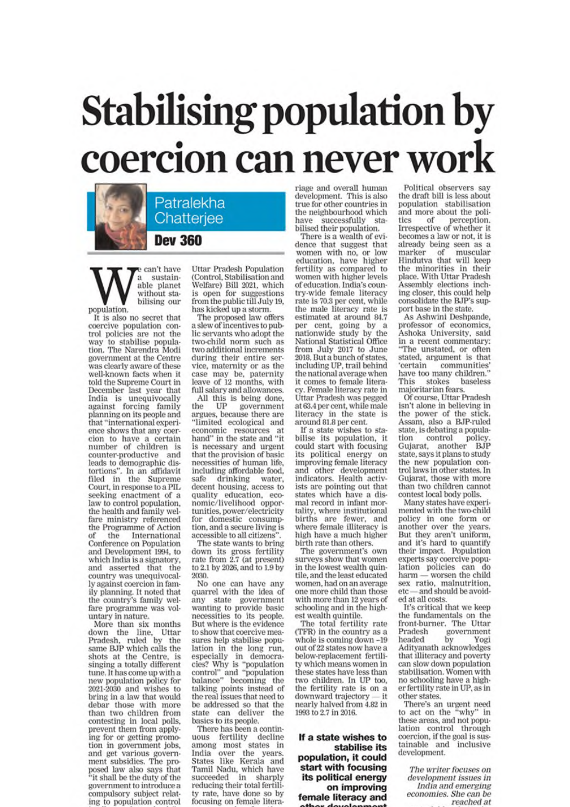# **Stabilising population by** coercion can never work

Patralekha Chatterjee

**Dev 360** 

e can't have sustain- $\mathbf{a}$ able planet without stabilising our population.

It is also no secret that coercive population control policies are not the way to stabilise population. The Narendra Modi government at the Centre was clearly aware of these well-known facts when it told the Supreme Court in December last year that India is unequivocally<br>against forcing family planning on its people and that "international experience shows that any coercion to have a certain number of children is<br>counter-productive and leads to demographic disfortions". In an affidavit<br>filed in the Supreme<br>Court, in response to a PIL seeking enactment of a law to control population, the health and family welfare ministry referenced the Programme of Action the International of Conference on Population and Development 1994, to which India is a signatory, and asserted that the country was unequivocally against coercion in family planning. It noted that<br>the country's family welfare programme was voluntary in nature.

More than six months down the line, Uttar Pradesh, ruled by the<br>same BJP which calls the shots at the Centre, is<br>singing a totally different tune. It has come up with a new population policy for 2021-2030 and wishes to bring in a law that would debar those with more than two children from contesting in local polls, prevent them from applying for or getting promotion in government jobs, and get various government subsidies. The proposed law also says that 'it shall be the duty of the government to introduce a compulsory subject relating to population control

**Uttar Pradesh Population** (Control, Stabilisation and Welfare) Bill 2021, which is open for suggestions from the public till July 19. has kicked up a storm.

The proposed law offers a slew of incentives to public servants who adopt the two-child norm such as two additional increments during their entire service, maternity or as the case may be, paternity leave of 12 months, with full salary and allowances.

All this is being done,<br>he UP government the government argues, because there are "limited ecological and economic resources at hand" in the state and "it is necessary and urgent that the provision of basic necessities of human life, including affordable food, safe drinking water. decent housing, access to quality education, eco-<br>nomic/livelihood opportunities, power/electricity for domestic consumption, and a secure living is accessible to all citizens".

The state wants to bring down its gross fertility<br>rate from 2.7 (at present) to 2.1 by 2026, and to 1.9 by 2030.

No one can have any quarrel with the idea of state government any wanting to provide basic necessities to its people. But where is the evidence to show that coercive measures help stabilise population in the long run, aspecially in democra-<br>cies? Why is "population<br>control" and "population<br>balance" becoming the talking points instead of the real issues that need to be addressed so that the state can deliver the basics to its people.

There has been a continuous fertility decline<br>among most states in India over the years. States like Kerala and Tamil Nadu, which have succeeded in sharply reducing their total fertility rate, have done so by focusing on female litera-

riage and overall human development. This is also true for other countries in the neighbourhood which have successfully st<br>bilised their population. sta-

There is a wealth of evidence that suggest that women with no, or low<br>education, have higher fertility as compared to women with higher levels of education. India's country-wide female literacy rate is 70.3 per cent, while the male literacy rate is estimated at around 84.7 per cent, going by a nationwide study by the National Statistical Office from July 2017 to June<br>2018. But a bunch of states, including UP, trail behind the national average when it comes to female literacy. Female literacy rate in Uttar Pradesh was pegged at 63.4 per cent, while male literacy in the state is<br>around 81.8 per cent.

If a state wishes to stabilise its population, it could start with focusing its political energy on improving female literacy and other development<br>indicators. Health activists are pointing out that states which have a dismal record in infant mortality, where institutional births are fewer, and where female illiteracy is high have a much higher birth rate than others.

The government's own surveys show that women in the lowest wealth quintile, and the least educated women, had on an average one more child than those with more than 12 years of schooling and in the highest wealth quintile.

The total fertility rate (TFR) in the country as a whole is coming down -19 out of 22 states now have a below-replacement fertility which means women in these states have less than two children. In UP too, the fertility rate is on a downward trajectory nearly halved from 4.82 in 1993 to 2.7 in 2016.

If a state wishes to stabilise its population, it could start with focusing its political energy on improving female literacy and

Political observers say the draft bill is less about population stabilisation<br>and more about the politics of perception.<br>Irrespective of whether it becomes a law or not, it is already being seen as a of muscular marker Hindutva that will keep the minorities in their place. With Uttar Pradesh Assembly elections inching closer, this could help consolidate the BJP's support base in the state.

As Ashwini Deshpande, professor of economics, Ashoka University, said in a recent commentary: "The unstated, or often stated, argument is that certain communities' have too many children. stokes baseless This majoritarian fears.

Of course, Uttar Pradesh isn't alone in believing in the power of the stick. Assam, also a BJP-ruled state, is debating a population control policy.<br>Gujarat, another BJP state, says it plans to study the new population control laws in other states. In Gujarat, those with more than two children cannot contest local body polls.

Many states have experimented with the two-child policy in one form or another over the years. But they aren't uniform, and it's hard to quantify their impact. Population experts say coercive population policies can do worsen the child harmsex ratio, malnutrition, etc-and should be avoided at all costs.

It's critical that we keep the fundamentals on the front-burner. The Uttar Pradesh government headed by Yogi<br>Adityanath acknowledges that illiteracy and poverty can slow down population stabilisation. Women with no schooling have a higher fertility rate in UP, as in other states.

There's an urgent need to act on the "why" in these areas, and not population control through coercion, if the goal is sustainable and inclusive development.

The writer focuses on development issues in India and emerging economies. She can be reached at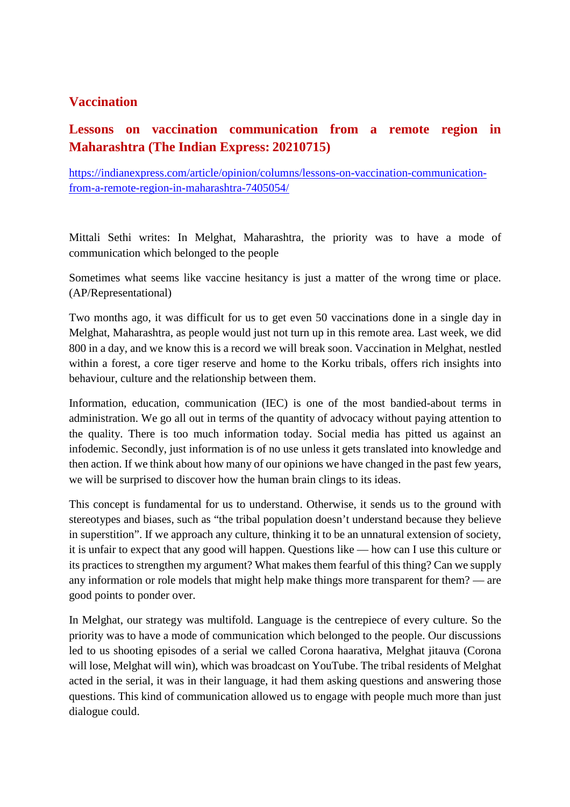#### **Vaccination**

#### **Lessons on vaccination communication from a remote region in Maharashtra (The Indian Express: 20210715)**

https://indianexpress.com/article/opinion/columns/lessons-on-vaccination-communicationfrom-a-remote-region-in-maharashtra-7405054/

Mittali Sethi writes: In Melghat, Maharashtra, the priority was to have a mode of communication which belonged to the people

Sometimes what seems like vaccine hesitancy is just a matter of the wrong time or place. (AP/Representational)

Two months ago, it was difficult for us to get even 50 vaccinations done in a single day in Melghat, Maharashtra, as people would just not turn up in this remote area. Last week, we did 800 in a day, and we know this is a record we will break soon. Vaccination in Melghat, nestled within a forest, a core tiger reserve and home to the Korku tribals, offers rich insights into behaviour, culture and the relationship between them.

Information, education, communication (IEC) is one of the most bandied-about terms in administration. We go all out in terms of the quantity of advocacy without paying attention to the quality. There is too much information today. Social media has pitted us against an infodemic. Secondly, just information is of no use unless it gets translated into knowledge and then action. If we think about how many of our opinions we have changed in the past few years, we will be surprised to discover how the human brain clings to its ideas.

This concept is fundamental for us to understand. Otherwise, it sends us to the ground with stereotypes and biases, such as "the tribal population doesn't understand because they believe in superstition". If we approach any culture, thinking it to be an unnatural extension of society, it is unfair to expect that any good will happen. Questions like — how can I use this culture or its practices to strengthen my argument? What makes them fearful of this thing? Can we supply any information or role models that might help make things more transparent for them? — are good points to ponder over.

In Melghat, our strategy was multifold. Language is the centrepiece of every culture. So the priority was to have a mode of communication which belonged to the people. Our discussions led to us shooting episodes of a serial we called Corona haarativa, Melghat jitauva (Corona will lose, Melghat will win), which was broadcast on YouTube. The tribal residents of Melghat acted in the serial, it was in their language, it had them asking questions and answering those questions. This kind of communication allowed us to engage with people much more than just dialogue could.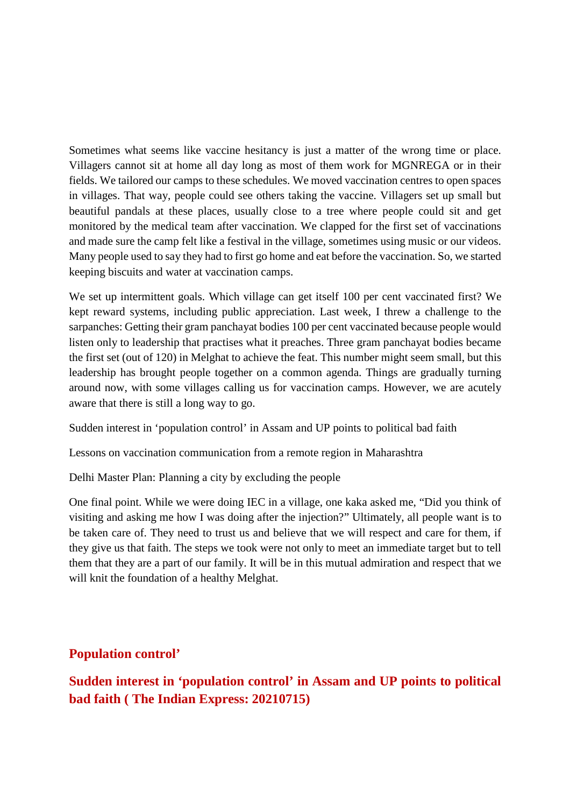Sometimes what seems like vaccine hesitancy is just a matter of the wrong time or place. Villagers cannot sit at home all day long as most of them work for MGNREGA or in their fields. We tailored our camps to these schedules. We moved vaccination centres to open spaces in villages. That way, people could see others taking the vaccine. Villagers set up small but beautiful pandals at these places, usually close to a tree where people could sit and get monitored by the medical team after vaccination. We clapped for the first set of vaccinations and made sure the camp felt like a festival in the village, sometimes using music or our videos. Many people used to say they had to first go home and eat before the vaccination. So, we started keeping biscuits and water at vaccination camps.

We set up intermittent goals. Which village can get itself 100 per cent vaccinated first? We kept reward systems, including public appreciation. Last week, I threw a challenge to the sarpanches: Getting their gram panchayat bodies 100 per cent vaccinated because people would listen only to leadership that practises what it preaches. Three gram panchayat bodies became the first set (out of 120) in Melghat to achieve the feat. This number might seem small, but this leadership has brought people together on a common agenda. Things are gradually turning around now, with some villages calling us for vaccination camps. However, we are acutely aware that there is still a long way to go.

Sudden interest in 'population control' in Assam and UP points to political bad faith

Lessons on vaccination communication from a remote region in Maharashtra

Delhi Master Plan: Planning a city by excluding the people

One final point. While we were doing IEC in a village, one kaka asked me, "Did you think of visiting and asking me how I was doing after the injection?" Ultimately, all people want is to be taken care of. They need to trust us and believe that we will respect and care for them, if they give us that faith. The steps we took were not only to meet an immediate target but to tell them that they are a part of our family. It will be in this mutual admiration and respect that we will knit the foundation of a healthy Melghat.

#### **Population control'**

**Sudden interest in 'population control' in Assam and UP points to political bad faith ( The Indian Express: 20210715)**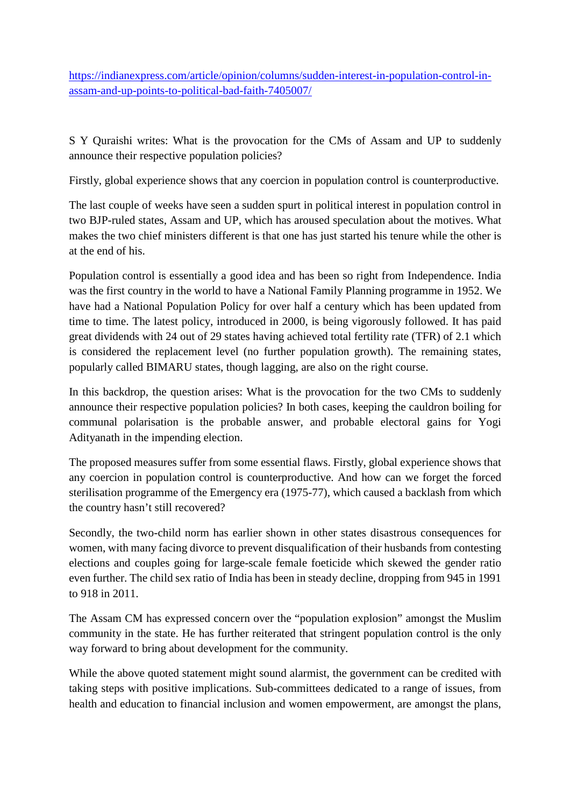https://indianexpress.com/article/opinion/columns/sudden-interest-in-population-control-inassam-and-up-points-to-political-bad-faith-7405007/

S Y Quraishi writes: What is the provocation for the CMs of Assam and UP to suddenly announce their respective population policies?

Firstly, global experience shows that any coercion in population control is counterproductive.

The last couple of weeks have seen a sudden spurt in political interest in population control in two BJP-ruled states, Assam and UP, which has aroused speculation about the motives. What makes the two chief ministers different is that one has just started his tenure while the other is at the end of his.

Population control is essentially a good idea and has been so right from Independence. India was the first country in the world to have a National Family Planning programme in 1952. We have had a National Population Policy for over half a century which has been updated from time to time. The latest policy, introduced in 2000, is being vigorously followed. It has paid great dividends with 24 out of 29 states having achieved total fertility rate (TFR) of 2.1 which is considered the replacement level (no further population growth). The remaining states, popularly called BIMARU states, though lagging, are also on the right course.

In this backdrop, the question arises: What is the provocation for the two CMs to suddenly announce their respective population policies? In both cases, keeping the cauldron boiling for communal polarisation is the probable answer, and probable electoral gains for Yogi Adityanath in the impending election.

The proposed measures suffer from some essential flaws. Firstly, global experience shows that any coercion in population control is counterproductive. And how can we forget the forced sterilisation programme of the Emergency era (1975-77), which caused a backlash from which the country hasn't still recovered?

Secondly, the two-child norm has earlier shown in other states disastrous consequences for women, with many facing divorce to prevent disqualification of their husbands from contesting elections and couples going for large-scale female foeticide which skewed the gender ratio even further. The child sex ratio of India has been in steady decline, dropping from 945 in 1991 to 918 in 2011.

The Assam CM has expressed concern over the "population explosion" amongst the Muslim community in the state. He has further reiterated that stringent population control is the only way forward to bring about development for the community.

While the above quoted statement might sound alarmist, the government can be credited with taking steps with positive implications. Sub-committees dedicated to a range of issues, from health and education to financial inclusion and women empowerment, are amongst the plans,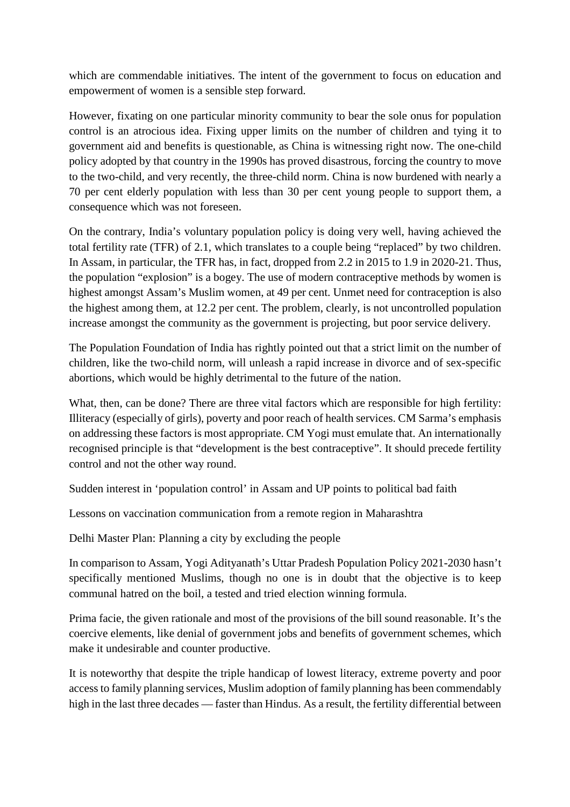which are commendable initiatives. The intent of the government to focus on education and empowerment of women is a sensible step forward.

However, fixating on one particular minority community to bear the sole onus for population control is an atrocious idea. Fixing upper limits on the number of children and tying it to government aid and benefits is questionable, as China is witnessing right now. The one-child policy adopted by that country in the 1990s has proved disastrous, forcing the country to move to the two-child, and very recently, the three-child norm. China is now burdened with nearly a 70 per cent elderly population with less than 30 per cent young people to support them, a consequence which was not foreseen.

On the contrary, India's voluntary population policy is doing very well, having achieved the total fertility rate (TFR) of 2.1, which translates to a couple being "replaced" by two children. In Assam, in particular, the TFR has, in fact, dropped from 2.2 in 2015 to 1.9 in 2020-21. Thus, the population "explosion" is a bogey. The use of modern contraceptive methods by women is highest amongst Assam's Muslim women, at 49 per cent. Unmet need for contraception is also the highest among them, at 12.2 per cent. The problem, clearly, is not uncontrolled population increase amongst the community as the government is projecting, but poor service delivery.

The Population Foundation of India has rightly pointed out that a strict limit on the number of children, like the two-child norm, will unleash a rapid increase in divorce and of sex-specific abortions, which would be highly detrimental to the future of the nation.

What, then, can be done? There are three vital factors which are responsible for high fertility: Illiteracy (especially of girls), poverty and poor reach of health services. CM Sarma's emphasis on addressing these factors is most appropriate. CM Yogi must emulate that. An internationally recognised principle is that "development is the best contraceptive". It should precede fertility control and not the other way round.

Sudden interest in 'population control' in Assam and UP points to political bad faith

Lessons on vaccination communication from a remote region in Maharashtra

Delhi Master Plan: Planning a city by excluding the people

In comparison to Assam, Yogi Adityanath's Uttar Pradesh Population Policy 2021-2030 hasn't specifically mentioned Muslims, though no one is in doubt that the objective is to keep communal hatred on the boil, a tested and tried election winning formula.

Prima facie, the given rationale and most of the provisions of the bill sound reasonable. It's the coercive elements, like denial of government jobs and benefits of government schemes, which make it undesirable and counter productive.

It is noteworthy that despite the triple handicap of lowest literacy, extreme poverty and poor access to family planning services, Muslim adoption of family planning has been commendably high in the last three decades — faster than Hindus. As a result, the fertility differential between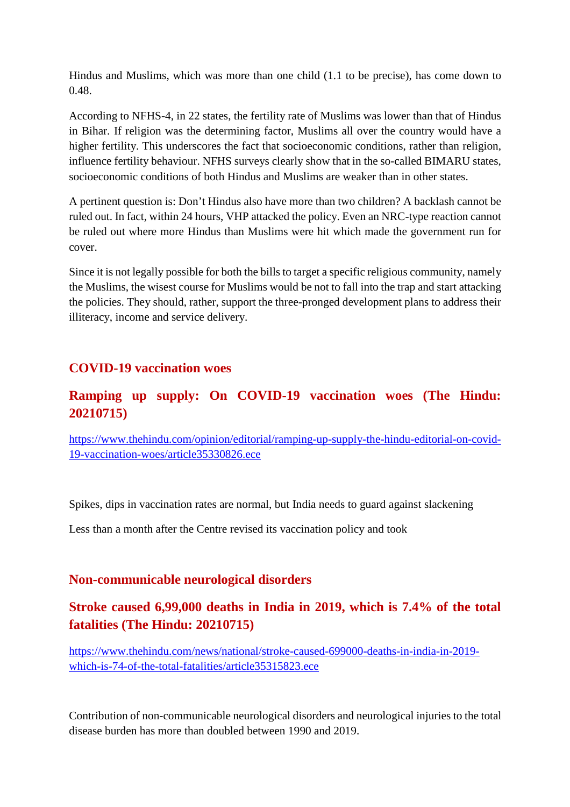Hindus and Muslims, which was more than one child (1.1 to be precise), has come down to 0.48.

According to NFHS-4, in 22 states, the fertility rate of Muslims was lower than that of Hindus in Bihar. If religion was the determining factor, Muslims all over the country would have a higher fertility. This underscores the fact that socioeconomic conditions, rather than religion, influence fertility behaviour. NFHS surveys clearly show that in the so-called BIMARU states, socioeconomic conditions of both Hindus and Muslims are weaker than in other states.

A pertinent question is: Don't Hindus also have more than two children? A backlash cannot be ruled out. In fact, within 24 hours, VHP attacked the policy. Even an NRC-type reaction cannot be ruled out where more Hindus than Muslims were hit which made the government run for cover.

Since it is not legally possible for both the bills to target a specific religious community, namely the Muslims, the wisest course for Muslims would be not to fall into the trap and start attacking the policies. They should, rather, support the three-pronged development plans to address their illiteracy, income and service delivery.

#### **COVID-19 vaccination woes**

#### **Ramping up supply: On COVID-19 vaccination woes (The Hindu: 20210715)**

https://www.thehindu.com/opinion/editorial/ramping-up-supply-the-hindu-editorial-on-covid-19-vaccination-woes/article35330826.ece

Spikes, dips in vaccination rates are normal, but India needs to guard against slackening

Less than a month after the Centre revised its vaccination policy and took

#### **Non-communicable neurological disorders**

#### **Stroke caused 6,99,000 deaths in India in 2019, which is 7.4% of the total fatalities (The Hindu: 20210715)**

https://www.thehindu.com/news/national/stroke-caused-699000-deaths-in-india-in-2019 which-is-74-of-the-total-fatalities/article35315823.ece

Contribution of non-communicable neurological disorders and neurological injuries to the total disease burden has more than doubled between 1990 and 2019.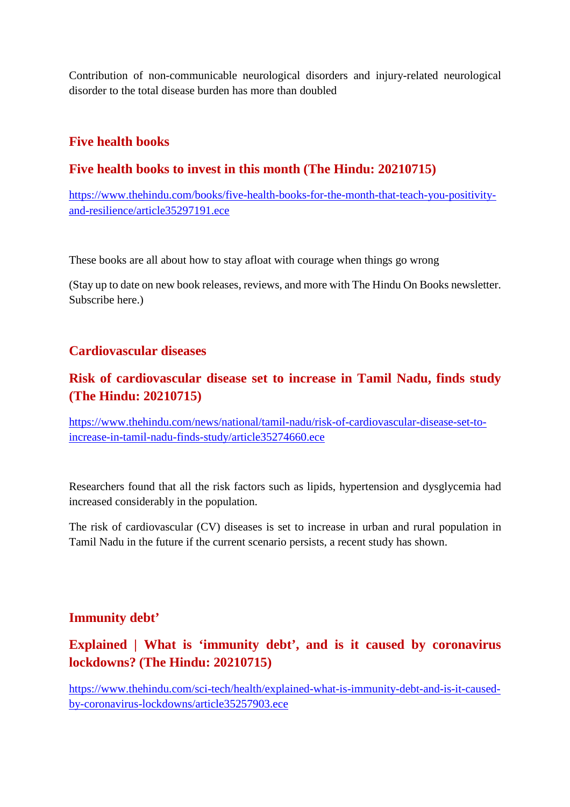Contribution of non-communicable neurological disorders and injury-related neurological disorder to the total disease burden has more than doubled

#### **Five health books**

#### **Five health books to invest in this month (The Hindu: 20210715)**

https://www.thehindu.com/books/five-health-books-for-the-month-that-teach-you-positivityand-resilience/article35297191.ece

These books are all about how to stay afloat with courage when things go wrong

(Stay up to date on new book releases, reviews, and more with The Hindu On Books newsletter. Subscribe here.)

#### **Cardiovascular diseases**

#### **Risk of cardiovascular disease set to increase in Tamil Nadu, finds study (The Hindu: 20210715)**

https://www.thehindu.com/news/national/tamil-nadu/risk-of-cardiovascular-disease-set-toincrease-in-tamil-nadu-finds-study/article35274660.ece

Researchers found that all the risk factors such as lipids, hypertension and dysglycemia had increased considerably in the population.

The risk of cardiovascular (CV) diseases is set to increase in urban and rural population in Tamil Nadu in the future if the current scenario persists, a recent study has shown.

#### **Immunity debt'**

#### **Explained | What is 'immunity debt', and is it caused by coronavirus lockdowns? (The Hindu: 20210715)**

https://www.thehindu.com/sci-tech/health/explained-what-is-immunity-debt-and-is-it-causedby-coronavirus-lockdowns/article35257903.ece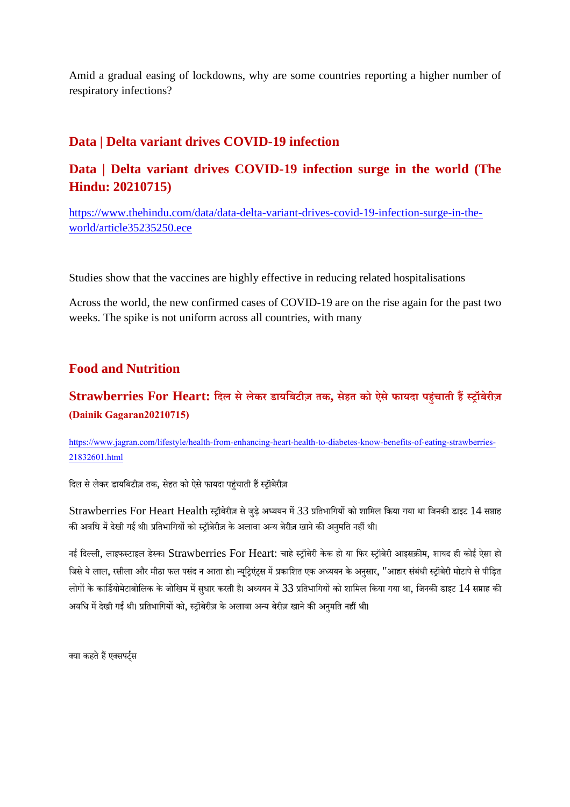Amid a gradual easing of lockdowns, why are some countries reporting a higher number of respiratory infections?

#### **Data | Delta variant drives COVID-19 infection**

#### **Data | Delta variant drives COVID-19 infection surge in the world (The Hindu: 20210715)**

https://www.thehindu.com/data/data-delta-variant-drives-covid-19-infection-surge-in-theworld/article35235250.ece

Studies show that the vaccines are highly effective in reducing related hospitalisations

Across the world, the new confirmed cases of COVID-19 are on the rise again for the past two weeks. The spike is not uniform across all countries, with many

#### **Food and Nutrition**

#### **Strawberries For Heart: िदल सेलेकर डायिबटीज़ तक, सेहत को ऐसेफायदा पहंचाती हॉबेरीज़ (Dainik Gagaran20210715)**

https://www.jagran.com/lifestyle/health-from-enhancing-heart-health-to-diabetes-know-benefits-of-eating-strawberries-21832601.html

दिल से लेकर डायबिटीज़ तक, सेहत को ऐसे फायदा पहंचाती हैं स्ट्रॉबेरीज़

Strawberries For Heart Health स्ट्रॉबेरीज़ से जुड़े अध्ययन में 33 प्रतिभागियों को शामिल किया गया था जिनकी डाइट 14 सप्ताह की अवधि में देखी गई थी। प्रतिभागियों को स्ट्रॉबेरीज़ के अलावा अन्य बेरीज़ खाने की अनुमति नहीं थी।

नई दिल्ली, लाइफस्टाइल डेस्क। Strawberries For Heart: चाहे स्ट्रॉबेरी केक हो या फिर स्ट्रॉबेरी आइसक्रीम, शायद ही कोई ऐसा हो जिसे ये लाल, रसीला और मीठा फल पसंद न आता हो। न्यूट्रिएंट्स में प्रकाशित एक अध्ययन के अनुसार, "आहार संबंधी स्ट्रॉबेरी मोटापे से पीड़ित लोगों के कार्डियोमेटाबोलिक के जोखिम में सधार करती है। अध्ययन में 33 प्रतिभागियों को शामिल किया गया था, जिनकी डाइट 14 सप्ताह की अवधि में देखी गई थी। प्रतिभागियों को, स्टॉबेरीज़ के अलावा अन्य बेरीज़ खाने की अनमति नहीं थी।

क्या कहते हैं एक्सपर्टस